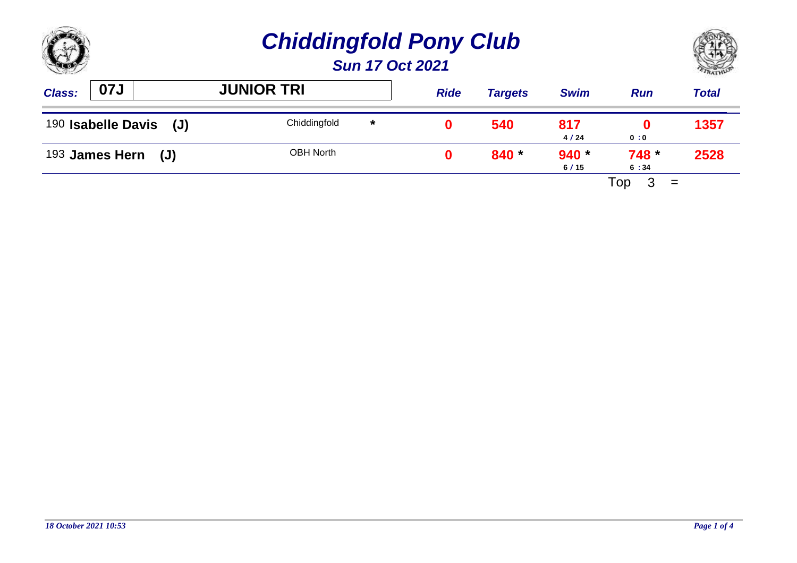

| <b>Class:</b>             | 07J | <b>JUNIOR TRI</b> |         | <b>Ride</b> | <b>Targets</b> | <b>Swim</b>     | <b>Run</b>    | <b>Total</b> |
|---------------------------|-----|-------------------|---------|-------------|----------------|-----------------|---------------|--------------|
| 190 Isabelle Davis<br>(J) |     | Chiddingfold      | $\star$ |             | 540            | 817<br>4/24     | 0:0           | 1357         |
| $193$ James Hern (J)      |     | <b>OBH North</b>  |         |             | $840 *$        | $940 *$<br>6/15 | 748 *<br>6:34 | 2528         |
|                           |     |                   |         |             |                |                 | Top<br>$=$    |              |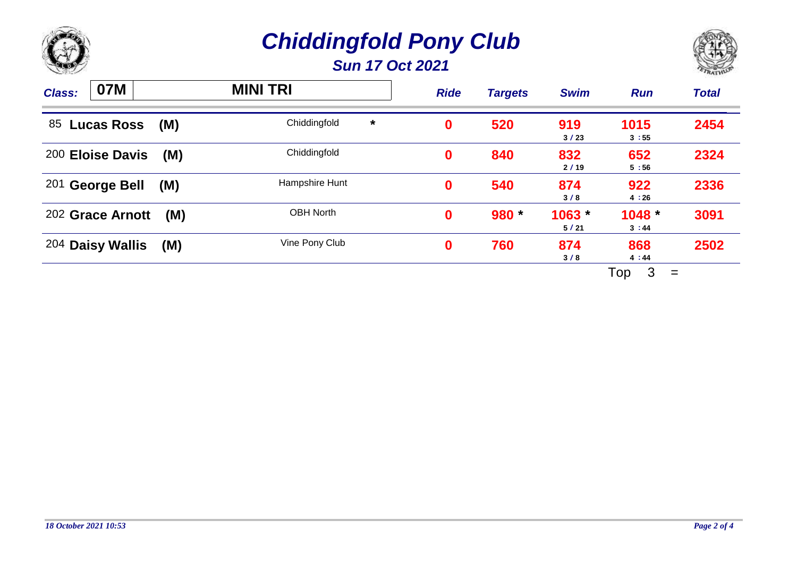



| <b>Class:</b> | 07M               |     | <b>MINI TRI</b>         | <b>Ride</b> | <b>Targets</b> | <b>Swim</b>      | <b>Run</b>      | <b>Total</b> |
|---------------|-------------------|-----|-------------------------|-------------|----------------|------------------|-----------------|--------------|
| 85            | <b>Lucas Ross</b> | (M) | Chiddingfold<br>$\star$ | 0           | 520            | 919<br>3/23      | 1015<br>3:55    | 2454         |
|               | 200 Eloise Davis  | (M) | Chiddingfold            | 0           | 840            | 832<br>2/19      | 652<br>5:56     | 2324         |
|               | 201 George Bell   | (M) | Hampshire Hunt          | 0           | 540            | 874<br>3/8       | 922<br>4:26     | 2336         |
|               | 202 Grace Arnott  | (M) | <b>OBH North</b>        | 0           | 980 *          | $1063 -$<br>5/21 | 1048<br>3:44    | 3091         |
|               | 204 Daisy Wallis  | (M) | Vine Pony Club          | $\bf{0}$    | 760            | 874<br>3/8       | 868<br>4:44     | 2502         |
|               |                   |     |                         |             |                |                  | 3<br>Top<br>$=$ |              |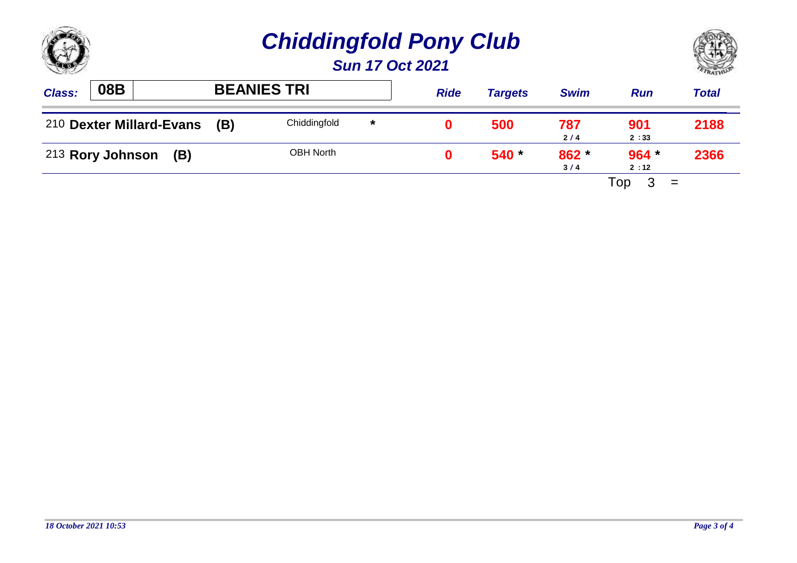

| <b>Class:</b> | 08B                      |     | <b>BEANIES TRI</b> |         | <b>Ride</b> | <b>Targets</b> | <b>Swim</b>  | <b>Run</b>      | Total |
|---------------|--------------------------|-----|--------------------|---------|-------------|----------------|--------------|-----------------|-------|
|               | 210 Dexter Millard-Evans | (B) | Chiddingfold       | $\star$ |             | 500            | 787<br>2/4   | 901<br>2:33     | 2188  |
|               | 213 Rory Johnson (B)     |     | <b>OBH North</b>   |         |             | $540*$         | 862 *<br>3/4 | $964 *$<br>2:12 | 2366  |
|               |                          |     |                    |         |             |                |              | Top<br>$=$      |       |